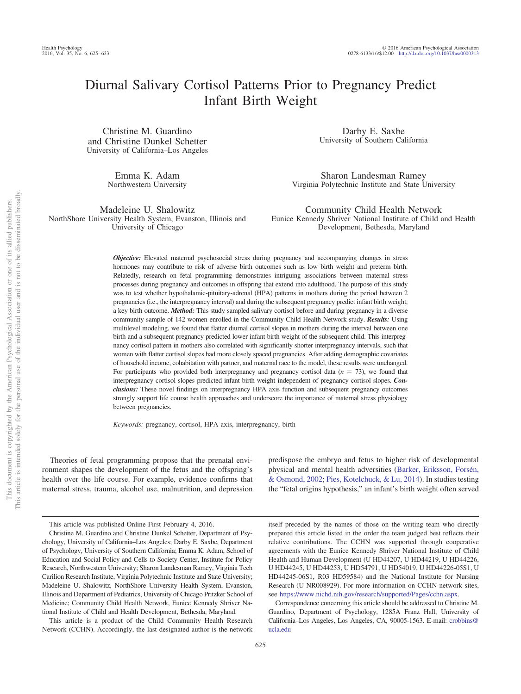# Diurnal Salivary Cortisol Patterns Prior to Pregnancy Predict Infant Birth Weight

Christine M. Guardino and Christine Dunkel Schetter University of California–Los Angeles

> Emma K. Adam Northwestern University

Madeleine U. Shalowitz NorthShore University Health System, Evanston, Illinois and University of Chicago

Darby E. Saxbe University of Southern California

Sharon Landesman Ramey Virginia Polytechnic Institute and State University

Community Child Health Network Eunice Kennedy Shriver National Institute of Child and Health Development, Bethesda, Maryland

*Objective:* Elevated maternal psychosocial stress during pregnancy and accompanying changes in stress hormones may contribute to risk of adverse birth outcomes such as low birth weight and preterm birth. Relatedly, research on fetal programming demonstrates intriguing associations between maternal stress processes during pregnancy and outcomes in offspring that extend into adulthood. The purpose of this study was to test whether hypothalamic-pituitary-adrenal (HPA) patterns in mothers during the period between 2 pregnancies (i.e., the interpregnancy interval) and during the subsequent pregnancy predict infant birth weight, a key birth outcome. *Method:* This study sampled salivary cortisol before and during pregnancy in a diverse community sample of 142 women enrolled in the Community Child Health Network study. *Results:* Using multilevel modeling, we found that flatter diurnal cortisol slopes in mothers during the interval between one birth and a subsequent pregnancy predicted lower infant birth weight of the subsequent child. This interpregnancy cortisol pattern in mothers also correlated with significantly shorter interpregnancy intervals, such that women with flatter cortisol slopes had more closely spaced pregnancies. After adding demographic covariates of household income, cohabitation with partner, and maternal race to the model, these results were unchanged. For participants who provided both interpregnancy and pregnancy cortisol data  $(n = 73)$ , we found that interpregnancy cortisol slopes predicted infant birth weight independent of pregnancy cortisol slopes. *Conclusions:* These novel findings on interpregnancy HPA axis function and subsequent pregnancy outcomes strongly support life course health approaches and underscore the importance of maternal stress physiology between pregnancies.

*Keywords:* pregnancy, cortisol, HPA axis, interpregnancy, birth

Theories of fetal programming propose that the prenatal environment shapes the development of the fetus and the offspring's health over the life course. For example, evidence confirms that maternal stress, trauma, alcohol use, malnutrition, and depression

This article was published Online First February 4, 2016.

This article is a product of the Child Community Health Research Network (CCHN). Accordingly, the last designated author is the network predispose the embryo and fetus to higher risk of developmental physical and mental health adversities [\(Barker, Eriksson, Forsén,](#page-6-0) [& Osmond, 2002;](#page-6-0) [Pies, Kotelchuck, & Lu, 2014\)](#page-8-0). In studies testing the "fetal origins hypothesis," an infant's birth weight often served

itself preceded by the names of those on the writing team who directly prepared this article listed in the order the team judged best reflects their relative contributions. The CCHN was supported through cooperative agreements with the Eunice Kennedy Shriver National Institute of Child Health and Human Development (U HD44207, U HD44219, U HD44226, U HD44245, U HD44253, U HD54791, U HD54019, U HD44226-05S1, U HD44245-06S1, R03 HD59584) and the National Institute for Nursing Research (U NR008929). For more information on CCHN network sites, see [https://www.nichd.nih.gov/research/supported/Pages/cchn.aspx.](https://www.nichd.nih.gov/research/supported/Pages/cchn.aspx)

Correspondence concerning this article should be addressed to Christine M. Guardino, Department of Psychology, 1285A Franz Hall, University of California–Los Angeles, Los Angeles, CA, 90005-1563. E-mail: [crobbins@](mailto:crobbins@ucla.edu) [ucla.edu](mailto:crobbins@ucla.edu)

Christine M. Guardino and Christine Dunkel Schetter, Department of Psychology, University of California–Los Angeles; Darby E. Saxbe, Department of Psychology, University of Southern California; Emma K. Adam, School of Education and Social Policy and Cells to Society Center, Institute for Policy Research, Northwestern University; Sharon Landesman Ramey, Virginia Tech Carilion Research Institute, Virginia Polytechnic Institute and State University; Madeleine U. Shalowitz, NorthShore University Health System, Evanston, Illinois and Department of Pediatrics, University of Chicago Pritzker School of Medicine; Community Child Health Network, Eunice Kennedy Shriver National Institute of Child and Health Development, Bethesda, Maryland.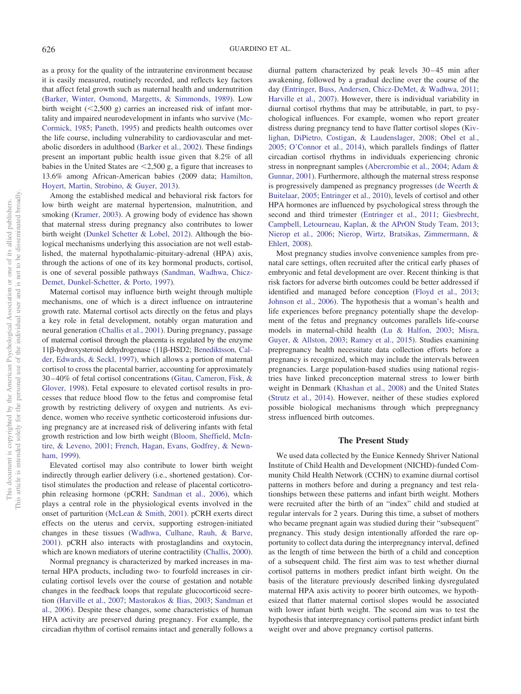as a proxy for the quality of the intrauterine environment because it is easily measured, routinely recorded, and reflects key factors that affect fetal growth such as maternal health and undernutrition [\(Barker, Winter, Osmond, Margetts, & Simmonds, 1989\)](#page-6-1). Low birth weight  $(<2,500 \text{ g})$  carries an increased risk of infant mortality and impaired neurodevelopment in infants who survive [\(Mc-](#page-8-1)[Cormick, 1985;](#page-8-1) [Paneth, 1995\)](#page-8-2) and predicts health outcomes over the life course, including vulnerability to cardiovascular and metabolic disorders in adulthood [\(Barker et al., 2002\)](#page-6-0). These findings present an important public health issue given that 8.2% of all babies in the United States are  $\leq$ 2,500 g, a figure that increases to 13.6% among African-American babies (2009 data; [Hamilton,](#page-7-0) [Hoyert, Martin, Strobino, & Guyer, 2013\)](#page-7-0).

Among the established medical and behavioral risk factors for low birth weight are maternal hypertension, malnutrition, and smoking [\(Kramer, 2003\)](#page-8-3). A growing body of evidence has shown that maternal stress during pregnancy also contributes to lower birth weight [\(Dunkel Schetter & Lobel, 2012\)](#page-7-1). Although the biological mechanisms underlying this association are not well established, the maternal hypothalamic-pituitary-adrenal (HPA) axis, through the actions of one of its key hormonal products, cortisol, is one of several possible pathways [\(Sandman, Wadhwa, Chicz-](#page-8-4)[Demet, Dunkel-Schetter, & Porto, 1997\)](#page-8-4).

Maternal cortisol may influence birth weight through multiple mechanisms, one of which is a direct influence on intrauterine growth rate. Maternal cortisol acts directly on the fetus and plays a key role in fetal development, notably organ maturation and neural generation [\(Challis et al., 2001\)](#page-7-2). During pregnancy, passage of maternal cortisol through the placenta is regulated by the enzyme 11β-hydroxysteroid dehydrogenase (11β-HSD2; [Benediktsson,](#page-7-3) Cal[der, Edwards, & Seckl, 1997\)](#page-7-3), which allows a portion of maternal cortisol to cross the placental barrier, accounting for approximately 30 – 40% of fetal cortisol concentrations [\(Gitau, Cameron, Fisk, &](#page-7-4) [Glover, 1998\)](#page-7-4). Fetal exposure to elevated cortisol results in processes that reduce blood flow to the fetus and compromise fetal growth by restricting delivery of oxygen and nutrients. As evidence, women who receive synthetic corticosteroid infusions during pregnancy are at increased risk of delivering infants with fetal growth restriction and low birth weight [\(Bloom, Sheffield, McIn](#page-7-5)[tire, & Leveno, 2001;](#page-7-5) [French, Hagan, Evans, Godfrey, & Newn](#page-7-6)[ham, 1999\)](#page-7-6).

Elevated cortisol may also contribute to lower birth weight indirectly through earlier delivery (i.e., shortened gestation). Cortisol stimulates the production and release of placental corticotrophin releasing hormone (pCRH; [Sandman et al., 2006\)](#page-8-5), which plays a central role in the physiological events involved in the onset of parturition [\(McLean & Smith, 2001\)](#page-8-6). pCRH exerts direct effects on the uterus and cervix, supporting estrogen-initiated changes in these tissues [\(Wadhwa, Culhane, Rauh, & Barve,](#page-8-7) [2001\)](#page-8-7). pCRH also interacts with prostaglandins and oxytocin, which are known mediators of uterine contractility [\(Challis, 2000\)](#page-7-7).

Normal pregnancy is characterized by marked increases in maternal HPA products, including two- to fourfold increases in circulating cortisol levels over the course of gestation and notable changes in the feedback loops that regulate glucocorticoid secretion [\(Harville et al., 2007;](#page-7-8) [Mastorakos & Ilias, 2003;](#page-8-8) [Sandman et](#page-8-5) [al., 2006\)](#page-8-5). Despite these changes, some characteristics of human HPA activity are preserved during pregnancy. For example, the circadian rhythm of cortisol remains intact and generally follows a diurnal pattern characterized by peak levels 30-45 min after awakening, followed by a gradual decline over the course of the day [\(Entringer, Buss, Andersen, Chicz-DeMet, & Wadhwa, 2011;](#page-7-9) [Harville et al., 2007\)](#page-7-8). However, there is individual variability in diurnal cortisol rhythms that may be attributable, in part, to psychological influences. For example, women who report greater distress during pregnancy tend to have flatter cortisol slopes [\(Kiv](#page-7-10)[lighan, DiPietro, Costigan, & Laudenslager, 2008;](#page-7-10) [Obel et al.,](#page-8-9) [2005;](#page-8-9) [O'Connor et al., 2014\)](#page-8-10), which parallels findings of flatter circadian cortisol rhythms in individuals experiencing chronic stress in nonpregnant samples [\(Abercrombie et al., 2004;](#page-6-2) [Adam &](#page-6-3) [Gunnar, 2001\)](#page-6-3). Furthermore, although the maternal stress response is progressively dampened as pregnancy progresses [\(de Weerth &](#page-7-11) [Buitelaar, 2005;](#page-7-11) [Entringer et al., 2010\)](#page-7-12), levels of cortisol and other HPA hormones are influenced by psychological stress through the second and third trimester [\(Entringer et al., 2011;](#page-7-9) [Giesbrecht,](#page-7-13) [Campbell, Letourneau, Kaplan, & the APrON Study Team, 2013;](#page-7-13) [Nierop et al., 2006;](#page-8-11) [Nierop, Wirtz, Bratsikas, Zimmermann, &](#page-8-12) [Ehlert, 2008\)](#page-8-12).

Most pregnancy studies involve convenience samples from prenatal care settings, often recruited after the critical early phases of embryonic and fetal development are over. Recent thinking is that risk factors for adverse birth outcomes could be better addressed if identified and managed before conception [\(Floyd et al., 2013;](#page-7-14) [Johnson et al., 2006\)](#page-7-15). The hypothesis that a woman's health and life experiences before pregnancy potentially shape the development of the fetus and pregnancy outcomes parallels life-course models in maternal-child health [\(Lu & Halfon, 2003;](#page-8-13) [Misra,](#page-8-14) [Guyer, & Allston, 2003;](#page-8-14) [Ramey et al., 2015\)](#page-8-15). Studies examining prepregnancy health necessitate data collection efforts before a pregnancy is recognized, which may include the intervals between pregnancies. Large population-based studies using national registries have linked preconception maternal stress to lower birth weight in Denmark [\(Khashan et al., 2008\)](#page-7-16) and the United States [\(Strutz et al., 2014\)](#page-8-16). However, neither of these studies explored possible biological mechanisms through which prepregnancy stress influenced birth outcomes.

#### **The Present Study**

We used data collected by the Eunice Kennedy Shriver National Institute of Child Health and Development (NICHD)-funded Community Child Health Network (CCHN) to examine diurnal cortisol patterns in mothers before and during a pregnancy and test relationships between these patterns and infant birth weight. Mothers were recruited after the birth of an "index" child and studied at regular intervals for 2 years. During this time, a subset of mothers who became pregnant again was studied during their "subsequent" pregnancy. This study design intentionally afforded the rare opportunity to collect data during the interpregnancy interval, defined as the length of time between the birth of a child and conception of a subsequent child. The first aim was to test whether diurnal cortisol patterns in mothers predict infant birth weight. On the basis of the literature previously described linking dysregulated maternal HPA axis activity to poorer birth outcomes, we hypothesized that flatter maternal cortisol slopes would be associated with lower infant birth weight. The second aim was to test the hypothesis that interpregnancy cortisol patterns predict infant birth weight over and above pregnancy cortisol patterns.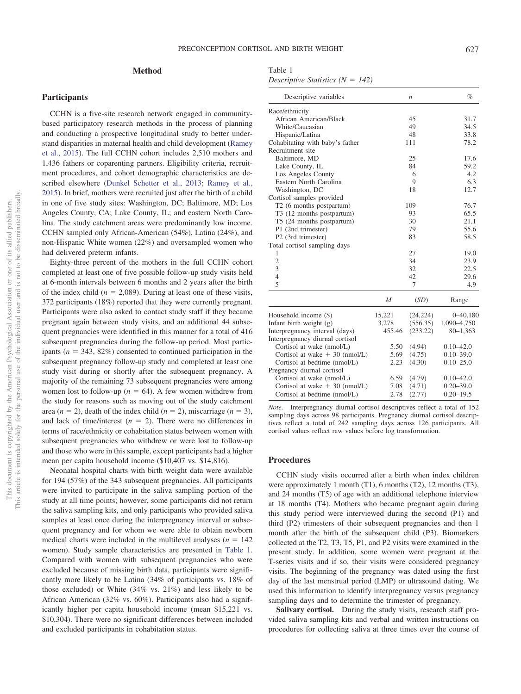# **Method**

## **Participants**

CCHN is a five-site research network engaged in communitybased participatory research methods in the process of planning and conducting a prospective longitudinal study to better understand disparities in maternal health and child development [\(Ramey](#page-8-15) [et al., 2015\)](#page-8-15). The full CCHN cohort includes 2,510 mothers and 1,436 fathers or coparenting partners. Eligibility criteria, recruitment procedures, and cohort demographic characteristics are described elsewhere [\(Dunkel Schetter et al., 2013;](#page-7-17) [Ramey et al.,](#page-8-15) [2015\)](#page-8-15). In brief, mothers were recruited just after the birth of a child in one of five study sites: Washington, DC; Baltimore, MD; Los Angeles County, CA; Lake County, IL; and eastern North Carolina. The study catchment areas were predominantly low income. CCHN sampled only African-American (54%), Latina (24%), and non-Hispanic White women (22%) and oversampled women who had delivered preterm infants.

Eighty-three percent of the mothers in the full CCHN cohort completed at least one of five possible follow-up study visits held at 6-month intervals between 6 months and 2 years after the birth of the index child  $(n = 2,089)$ . During at least one of these visits, 372 participants (18%) reported that they were currently pregnant. Participants were also asked to contact study staff if they became pregnant again between study visits, and an additional 44 subsequent pregnancies were identified in this manner for a total of 416 subsequent pregnancies during the follow-up period. Most participants ( $n = 343, 82\%$ ) consented to continued participation in the subsequent pregnancy follow-up study and completed at least one study visit during or shortly after the subsequent pregnancy. A majority of the remaining 73 subsequent pregnancies were among women lost to follow-up ( $n = 64$ ). A few women withdrew from the study for reasons such as moving out of the study catchment area ( $n = 2$ ), death of the index child ( $n = 2$ ), miscarriage ( $n = 3$ ), and lack of time/interest  $(n = 2)$ . There were no differences in terms of race/ethnicity or cohabitation status between women with subsequent pregnancies who withdrew or were lost to follow-up and those who were in this sample, except participants had a higher mean per capita household income (\$10,407 vs. \$14,816).

Neonatal hospital charts with birth weight data were available for 194 (57%) of the 343 subsequent pregnancies. All participants were invited to participate in the saliva sampling portion of the study at all time points; however, some participants did not return the saliva sampling kits, and only participants who provided saliva samples at least once during the interpregnancy interval or subsequent pregnancy and for whom we were able to obtain newborn medical charts were included in the multilevel analyses  $(n = 142)$ women). Study sample characteristics are presented in [Table 1.](#page-2-0) Compared with women with subsequent pregnancies who were excluded because of missing birth data, participants were significantly more likely to be Latina (34% of participants vs. 18% of those excluded) or White (34% vs. 21%) and less likely to be African American (32% vs. 60%). Participants also had a significantly higher per capita household income (mean \$15,221 vs. \$10,304). There were no significant differences between included and excluded participants in cohabitation status.

## <span id="page-2-0"></span>Table 1

*Descriptive Statistics (N* - *142)*

| Descriptive variables           |        | n         | $\%$          |  |  |
|---------------------------------|--------|-----------|---------------|--|--|
| Race/ethnicity                  |        |           |               |  |  |
| African American/Black          |        | 45        | 31.7          |  |  |
| White/Caucasian                 |        | 49        | 34.5          |  |  |
| Hispanic/Latina                 |        | 48        | 33.8          |  |  |
| Cohabitating with baby's father |        | 111       | 78.2          |  |  |
| Recruitment site                |        |           |               |  |  |
| Baltimore, MD                   |        | 25        | 17.6          |  |  |
| Lake County, IL                 |        | 84        | 59.2          |  |  |
| Los Angeles County              |        | 6         | 4.2           |  |  |
| Eastern North Carolina          |        | 9         | 6.3           |  |  |
| Washington, DC                  |        | 18        | 12.7          |  |  |
| Cortisol samples provided       |        |           |               |  |  |
| T2 (6 months postpartum)        |        | 109       |               |  |  |
| T3 (12 months postpartum)       |        | 93        | 65.5          |  |  |
| T5 (24 months postpartum)       |        | 30        | 21.1          |  |  |
| P1 (2nd trimester)              |        | 79        |               |  |  |
| P <sub>2</sub> (3rd trimester)  |        | 83        |               |  |  |
| Total cortisol sampling days    |        |           |               |  |  |
| 1                               |        | 27<br>34  | 19.0          |  |  |
| $\overline{c}$                  |        | 23.9      |               |  |  |
| 3                               |        | 22.5      |               |  |  |
| $\overline{4}$                  |        | 29.6      |               |  |  |
| 5                               | 7      |           | 4.9           |  |  |
|                                 | M      | (SD)      | Range         |  |  |
| Household income (\$)           | 15,221 | (24, 224) | $0 - 40,180$  |  |  |
| Infant birth weight $(g)$       | 3,278  | (556.35)  | 1,090-4,750   |  |  |
| Interpregnancy interval (days)  | 455.46 | (233.22)  | $80 - 1,363$  |  |  |
| Interpregnancy diurnal cortisol |        |           |               |  |  |
| Cortisol at wake (nmol/L)       | 5.50   | (4.94)    | $0.10 - 42.0$ |  |  |
| Cortisol at wake $+30$ (nmol/L) | 5.69   | (4.75)    | $0.10 - 39.0$ |  |  |
| Cortisol at bedtime (nmol/L)    | 2.23   | (4.30)    | $0.10 - 25.0$ |  |  |
| Pregnancy diurnal cortisol      |        |           |               |  |  |
| Cortisol at wake (nmol/L)       | 6.59   | (4.79)    | $0.10 - 42.0$ |  |  |
| Cortisol at wake $+30$ (nmol/L) | 7.08   | (4.71)    | $0.20 - 39.0$ |  |  |
| Cortisol at bedtime (nmol/L)    | 2.78   | (2.77)    | $0.20 - 19.5$ |  |  |

*Note.* Interpregnancy diurnal cortisol descriptives reflect a total of 152 sampling days across 98 participants. Pregnancy diurnal cortisol descriptives reflect a total of 242 sampling days across 126 participants. All cortisol values reflect raw values before log transformation.

#### **Procedures**

CCHN study visits occurred after a birth when index children were approximately 1 month (T1), 6 months (T2), 12 months (T3), and 24 months (T5) of age with an additional telephone interview at 18 months (T4). Mothers who became pregnant again during this study period were interviewed during the second (P1) and third (P2) trimesters of their subsequent pregnancies and then 1 month after the birth of the subsequent child (P3). Biomarkers collected at the T2, T3, T5, P1, and P2 visits were examined in the present study. In addition, some women were pregnant at the T-series visits and if so, their visits were considered pregnancy visits. The beginning of the pregnancy was dated using the first day of the last menstrual period (LMP) or ultrasound dating. We used this information to identify interpregnancy versus pregnancy sampling days and to determine the trimester of pregnancy.

**Salivary cortisol.** During the study visits, research staff provided saliva sampling kits and verbal and written instructions on procedures for collecting saliva at three times over the course of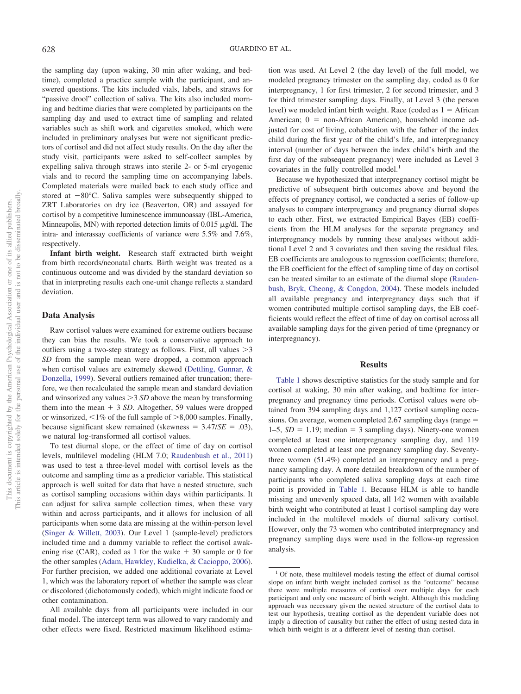the sampling day (upon waking, 30 min after waking, and bedtime), completed a practice sample with the participant, and answered questions. The kits included vials, labels, and straws for "passive drool" collection of saliva. The kits also included morning and bedtime diaries that were completed by participants on the sampling day and used to extract time of sampling and related variables such as shift work and cigarettes smoked, which were included in preliminary analyses but were not significant predictors of cortisol and did not affect study results. On the day after the study visit, participants were asked to self-collect samples by expelling saliva through straws into sterile 2- or 5-ml cryogenic vials and to record the sampling time on accompanying labels. Completed materials were mailed back to each study office and stored at  $-80^{\circ}$ C. Saliva samples were subsequently shipped to ZRT Laboratories on dry ice (Beaverton, OR) and assayed for cortisol by a competitive luminescence immunoassay (IBL-America, Minneapolis, MN) with reported detection limits of  $0.015 \mu g/dl$ . The intra- and interassay coefficients of variance were 5.5% and 7.6%, respectively.

**Infant birth weight.** Research staff extracted birth weight from birth records/neonatal charts. Birth weight was treated as a continuous outcome and was divided by the standard deviation so that in interpreting results each one-unit change reflects a standard deviation.

## **Data Analysis**

Raw cortisol values were examined for extreme outliers because they can bias the results. We took a conservative approach to outliers using a two-step strategy as follows. First, all values  $>3$ *SD* from the sample mean were dropped, a common approach when cortisol values are extremely skewed [\(Dettling, Gunnar, &](#page-7-18) [Donzella, 1999\)](#page-7-18). Several outliers remained after truncation; therefore, we then recalculated the sample mean and standard deviation and winsorized any values 3 *SD* above the mean by transforming them into the mean  $+$  3 *SD*. Altogether, 59 values were dropped or winsorized,  $\leq 1\%$  of the full sample of  $\geq 8,000$  samples. Finally, because significant skew remained (skewness  $= 3.47/SE = .03$ ), we natural log-transformed all cortisol values.

To test diurnal slope, or the effect of time of day on cortisol levels, multilevel modeling (HLM 7.0; [Raudenbush et al., 2011\)](#page-8-17) was used to test a three-level model with cortisol levels as the outcome and sampling time as a predictor variable. This statistical approach is well suited for data that have a nested structure, such as cortisol sampling occasions within days within participants. It can adjust for saliva sample collection times, when these vary within and across participants, and it allows for inclusion of all participants when some data are missing at the within-person level [\(Singer & Willett, 2003\)](#page-8-18). Our Level 1 (sample-level) predictors included time and a dummy variable to reflect the cortisol awakening rise (CAR), coded as 1 for the wake  $+30$  sample or 0 for the other samples [\(Adam, Hawkley, Kudielka, & Cacioppo, 2006\)](#page-6-4). For further precision, we added one additional covariate at Level 1, which was the laboratory report of whether the sample was clear or discolored (dichotomously coded), which might indicate food or other contamination.

All available days from all participants were included in our final model. The intercept term was allowed to vary randomly and other effects were fixed. Restricted maximum likelihood estimation was used. At Level 2 (the day level) of the full model, we modeled pregnancy trimester on the sampling day, coded as 0 for interpregnancy, 1 for first trimester, 2 for second trimester, and 3 for third trimester sampling days. Finally, at Level 3 (the person level) we modeled infant birth weight. Race (coded as  $1 =$  African American; 0 = non-African American), household income adjusted for cost of living, cohabitation with the father of the index child during the first year of the child's life, and interpregnancy interval (number of days between the index child's birth and the first day of the subsequent pregnancy) were included as Level 3 covariates in the fully controlled model.<sup>1</sup>

Because we hypothesized that interpregnancy cortisol might be predictive of subsequent birth outcomes above and beyond the effects of pregnancy cortisol, we conducted a series of follow-up analyses to compare interpregnancy and pregnancy diurnal slopes to each other. First, we extracted Empirical Bayes (EB) coefficients from the HLM analyses for the separate pregnancy and interpregnancy models by running these analyses without additional Level 2 and 3 covariates and then saving the residual files. EB coefficients are analogous to regression coefficients; therefore, the EB coefficient for the effect of sampling time of day on cortisol can be treated similar to an estimate of the diurnal slope [\(Rauden](#page-8-19)[bush, Bryk, Cheong, & Congdon, 2004\)](#page-8-19). These models included all available pregnancy and interpregnancy days such that if women contributed multiple cortisol sampling days, the EB coefficients would reflect the effect of time of day on cortisol across all available sampling days for the given period of time (pregnancy or interpregnancy).

### **Results**

[Table 1](#page-2-0) shows descriptive statistics for the study sample and for cortisol at waking, 30 min after waking, and bedtime for interpregnancy and pregnancy time periods. Cortisol values were obtained from 394 sampling days and 1,127 cortisol sampling occasions. On average, women completed  $2.67$  sampling days (range  $=$  $1-5$ ,  $SD = 1.19$ ; median = 3 sampling days). Ninety-one women completed at least one interpregnancy sampling day, and 119 women completed at least one pregnancy sampling day. Seventythree women (51.4%) completed an interpregnancy and a pregnancy sampling day. A more detailed breakdown of the number of participants who completed saliva sampling days at each time point is provided in [Table 1.](#page-2-0) Because HLM is able to handle missing and unevenly spaced data, all 142 women with available birth weight who contributed at least 1 cortisol sampling day were included in the multilevel models of diurnal salivary cortisol. However, only the 73 women who contributed interpregnancy and pregnancy sampling days were used in the follow-up regression analysis.

<sup>&</sup>lt;sup>1</sup> Of note, these multilevel models testing the effect of diurnal cortisol slope on infant birth weight included cortisol as the "outcome" because there were multiple measures of cortisol over multiple days for each participant and only one measure of birth weight. Although this modeling approach was necessary given the nested structure of the cortisol data to test our hypothesis, treating cortisol as the dependent variable does not imply a direction of causality but rather the effect of using nested data in which birth weight is at a different level of nesting than cortisol.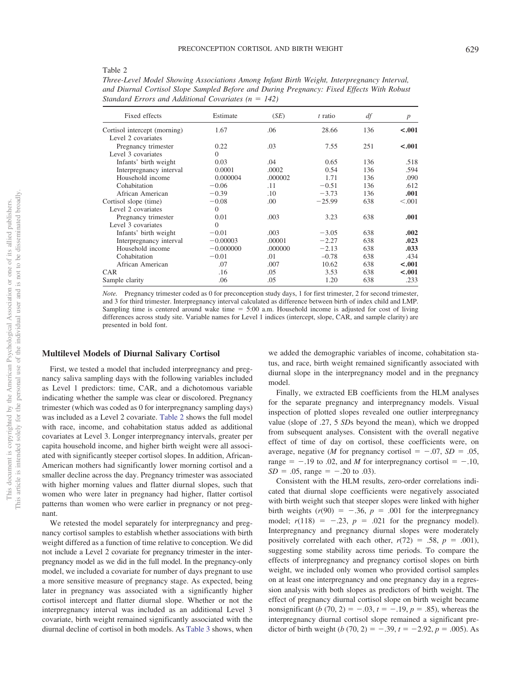<span id="page-4-0"></span>

|--|--|

*Three-Level Model Showing Associations Among Infant Birth Weight, Interpregnancy Interval, and Diurnal Cortisol Slope Sampled Before and During Pregnancy: Fixed Effects With Robust* Standard Errors and Additional Covariates (n = 142)

| Fixed effects                | Estimate    | (SE)    | t ratio  | df  | $\boldsymbol{p}$ |
|------------------------------|-------------|---------|----------|-----|------------------|
| Cortisol intercept (morning) | 1.67        | .06     | 28.66    | 136 | $-.001$          |
| Level 2 covariates           |             |         |          |     |                  |
| Pregnancy trimester          | 0.22        | .03     | 7.55     | 251 | $-.001$          |
| Level 3 covariates           | $\Omega$    |         |          |     |                  |
| Infants' birth weight        | 0.03        | .04     | 0.65     | 136 | .518             |
| Interpregnancy interval      | 0.0001      | .0002   | 0.54     | 136 | .594             |
| Household income             | 0.000004    | .000002 | 1.71     | 136 | .090             |
| Cohabitation                 | $-0.06$     | .11     | $-0.51$  | 136 | .612             |
| African American             | $-0.39$     | .10     | $-3.73$  | 136 | .001             |
| Cortisol slope (time)        | $-0.08$     | .00     | $-25.99$ | 638 | < 0.001          |
| Level 2 covariates           | $\Omega$    |         |          |     |                  |
| Pregnancy trimester          | 0.01        | .003    | 3.23     | 638 | .001             |
| Level 3 covariates           | $\Omega$    |         |          |     |                  |
| Infants' birth weight        | $-0.01$     | .003    | $-3.05$  | 638 | .002             |
| Interpregnancy interval      | $-0.00003$  | .00001  | $-2.27$  | 638 | .023             |
| Household income             | $-0.000000$ | .000000 | $-2.13$  | 638 | .033             |
| Cohabitation                 | $-0.01$     | .01     | $-0.78$  | 638 | .434             |
| African American             | .07         | .007    | 10.62    | 638 | $-.001$          |
| <b>CAR</b>                   | .16         | .05     | 3.53     | 638 | $-.001$          |
| Sample clarity               | .06         | .05     | 1.20     | 638 | .233             |

*Note.* Pregnancy trimester coded as 0 for preconception study days, 1 for first trimester, 2 for second trimester, and 3 for third trimester. Interpregnancy interval calculated as difference between birth of index child and LMP. Sampling time is centered around wake time  $= 5:00$  a.m. Household income is adjusted for cost of living differences across study site. Variable names for Level 1 indices (intercept, slope, CAR, and sample clarity) are presented in bold font.

### **Multilevel Models of Diurnal Salivary Cortisol**

First, we tested a model that included interpregnancy and pregnancy saliva sampling days with the following variables included as Level 1 predictors: time, CAR, and a dichotomous variable indicating whether the sample was clear or discolored. Pregnancy trimester (which was coded as 0 for interpregnancy sampling days) was included as a Level 2 covariate. [Table 2](#page-4-0) shows the full model with race, income, and cohabitation status added as additional covariates at Level 3. Longer interpregnancy intervals, greater per capita household income, and higher birth weight were all associated with significantly steeper cortisol slopes. In addition, African-American mothers had significantly lower morning cortisol and a smaller decline across the day. Pregnancy trimester was associated with higher morning values and flatter diurnal slopes, such that women who were later in pregnancy had higher, flatter cortisol patterns than women who were earlier in pregnancy or not pregnant.

We retested the model separately for interpregnancy and pregnancy cortisol samples to establish whether associations with birth weight differed as a function of time relative to conception. We did not include a Level 2 covariate for pregnancy trimester in the interpregnancy model as we did in the full model. In the pregnancy-only model, we included a covariate for number of days pregnant to use a more sensitive measure of pregnancy stage. As expected, being later in pregnancy was associated with a significantly higher cortisol intercept and flatter diurnal slope. Whether or not the interpregnancy interval was included as an additional Level 3 covariate, birth weight remained significantly associated with the diurnal decline of cortisol in both models. As [Table 3](#page-5-0) shows, when we added the demographic variables of income, cohabitation status, and race, birth weight remained significantly associated with diurnal slope in the interpregnancy model and in the pregnancy model.

Finally, we extracted EB coefficients from the HLM analyses for the separate pregnancy and interpregnancy models. Visual inspection of plotted slopes revealed one outlier interpregnancy value (slope of .27, 5 *SD*s beyond the mean), which we dropped from subsequent analyses. Consistent with the overall negative effect of time of day on cortisol, these coefficients were, on average, negative (*M* for pregnancy cortisol =  $-.07$ , *SD* = .05, range  $= -.19$  to .02, and *M* for interpregnancy cortisol  $= -.10$ ,  $SD = .05$ , range  $= -.20$  to .03).

Consistent with the HLM results, zero-order correlations indicated that diurnal slope coefficients were negatively associated with birth weight such that steeper slopes were linked with higher birth weights  $(r(90) = -.36, p = .001$  for the interpregnancy model;  $r(118) = -.23$ ,  $p = .021$  for the pregnancy model). Interpregnancy and pregnancy diurnal slopes were moderately positively correlated with each other,  $r(72) = .58$ ,  $p = .001$ ), suggesting some stability across time periods. To compare the effects of interpregnancy and pregnancy cortisol slopes on birth weight, we included only women who provided cortisol samples on at least one interpregnancy and one pregnancy day in a regression analysis with both slopes as predictors of birth weight. The effect of pregnancy diurnal cortisol slope on birth weight became nonsignificant (*b* (70, 2) =  $-.03$ ,  $t = -.19$ ,  $p = .85$ ), whereas the interpregnancy diurnal cortisol slope remained a significant predictor of birth weight  $(b (70, 2) = -.39, t = -2.92, p = .005)$ . As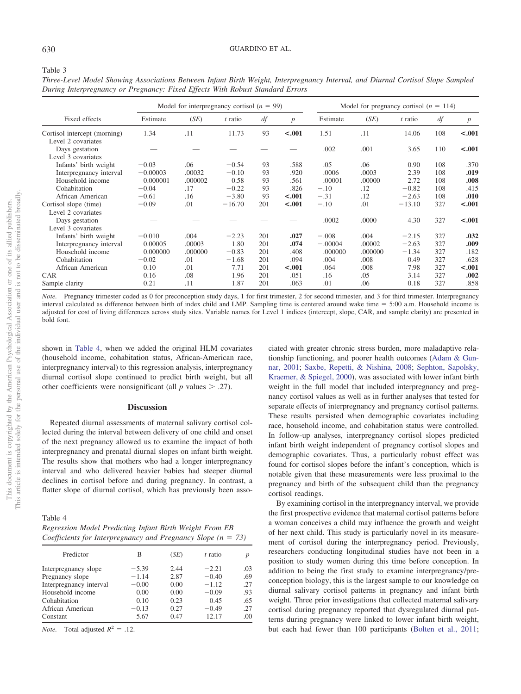#### 630 GUARDINO ET AL.

<span id="page-5-0"></span>Table 3

*Three-Level Model Showing Associations Between Infant Birth Weight, Interpregnancy Interval, and Diurnal Cortisol Slope Sampled During Interpregnancy or Pregnancy: Fixed Effects With Robust Standard Errors*

|                              |            | Model for interpregnancy cortisol ( $n = 99$ ) |           |     |                  |           | Model for pregnancy cortisol ( $n = 114$ ) |           |     |         |  |
|------------------------------|------------|------------------------------------------------|-----------|-----|------------------|-----------|--------------------------------------------|-----------|-----|---------|--|
| Fixed effects                | Estimate   | (SE)                                           | $t$ ratio | df  | $\boldsymbol{p}$ | Estimate  | (SE)                                       | $t$ ratio | df  | p       |  |
| Cortisol intercept (morning) | 1.34       | .11                                            | 11.73     | 93  | $-.001$          | 1.51      | .11                                        | 14.06     | 108 | $-.001$ |  |
| Level 2 covariates           |            |                                                |           |     |                  |           |                                            |           |     |         |  |
| Days gestation               |            |                                                |           |     |                  | .002      | .001                                       | 3.65      | 110 | $-.001$ |  |
| Level 3 covariates           |            |                                                |           |     |                  |           |                                            |           |     |         |  |
| Infants' birth weight        | $-0.03$    | .06                                            | $-0.54$   | 93  | .588             | .05       | .06                                        | 0.90      | 108 | .370    |  |
| Interpregnancy interval      | $-0.00003$ | .00032                                         | $-0.10$   | 93  | .920             | .0006     | .0003                                      | 2.39      | 108 | .019    |  |
| Household income             | 0.000001   | .000002                                        | 0.58      | 93  | .561             | .00001    | .00000                                     | 2.72      | 108 | .008    |  |
| Cohabitation                 | $-0.04$    | .17                                            | $-0.22$   | 93  | .826             | $-.10$    | .12                                        | $-0.82$   | 108 | .415    |  |
| African American             | $-0.61$    | .16                                            | $-3.80$   | 93  | $-.001$          | $-.31$    | .12                                        | $-2.63$   | 108 | .010    |  |
| Cortisol slope (time)        | $-0.09$    | .01                                            | $-16.70$  | 201 | $-.001$          | $-.10$    | .01                                        | $-13.10$  | 327 | $-.001$ |  |
| Level 2 covariates           |            |                                                |           |     |                  |           |                                            |           |     |         |  |
| Days gestation               |            |                                                |           |     |                  | .0002     | .0000                                      | 4.30      | 327 | $-.001$ |  |
| Level 3 covariates           |            |                                                |           |     |                  |           |                                            |           |     |         |  |
| Infants' birth weight        | $-0.010$   | .004                                           | $-2.23$   | 201 | .027             | $-.008$   | .004                                       | $-2.15$   | 327 | .032    |  |
| Interpregnancy interval      | 0.00005    | .00003                                         | 1.80      | 201 | .074             | $-.00004$ | .00002                                     | $-2.63$   | 327 | .009    |  |
| Household income             | 0.000000   | .000000                                        | $-0.83$   | 201 | .408             | .000000   | .000000                                    | $-1.34$   | 327 | .182    |  |
| Cohabitation                 | $-0.02$    | .01                                            | $-1.68$   | 201 | .094             | .004      | .008                                       | 0.49      | 327 | .628    |  |
| African American             | 0.10       | .01                                            | 7.71      | 201 | $-.001$          | .064      | .008                                       | 7.98      | 327 | $-.001$ |  |
| <b>CAR</b>                   | 0.16       | .08                                            | 1.96      | 201 | .051             | .16       | .05                                        | 3.14      | 327 | .002    |  |
| Sample clarity               | 0.21       | .11                                            | 1.87      | 201 | .063             | .01       | .06                                        | 0.18      | 327 | .858    |  |

*Note.* Pregnancy trimester coded as 0 for preconception study days, 1 for first trimester, 2 for second trimester, and 3 for third trimester. Interpregnancy interval calculated as difference between birth of index child and LMP. Sampling time is centered around wake time = 5:00 a.m. Household income is adjusted for cost of living differences across study sites. Variable names for Level 1 indices (intercept, slope, CAR, and sample clarity) are presented in bold font.

shown in [Table 4,](#page-5-1) when we added the original HLM covariates (household income, cohabitation status, African-American race, interpregnancy interval) to this regression analysis, interpregnancy diurnal cortisol slope continued to predict birth weight, but all other coefficients were nonsignificant (all  $p$  values  $> .27$ ).

## **Discussion**

Repeated diurnal assessments of maternal salivary cortisol collected during the interval between delivery of one child and onset of the next pregnancy allowed us to examine the impact of both interpregnancy and prenatal diurnal slopes on infant birth weight. The results show that mothers who had a longer interpregnancy interval and who delivered heavier babies had steeper diurnal declines in cortisol before and during pregnancy. In contrast, a flatter slope of diurnal cortisol, which has previously been asso-

<span id="page-5-1"></span>Table 4 *Regression Model Predicting Infant Birth Weight From EB Coefficients for Interpregnancy and Pregnancy Slope (n = 73)* 

| В       | (SE) | t ratio | р   |
|---------|------|---------|-----|
| $-5.39$ | 2.44 | $-2.21$ | .03 |
| $-1.14$ | 2.87 | $-0.40$ | .69 |
| $-0.00$ | 0.00 | $-1.12$ | .27 |
| 0.00    | 0.00 | $-0.09$ | .93 |
| 0.10    | 0.23 | 0.45    | .65 |
| $-0.13$ | 0.27 | $-0.49$ | .27 |
| 5.67    | 0.47 | 12.17   | .00 |
|         |      |         |     |

*Note.* Total adjusted  $R^2 = .12$ .

ciated with greater chronic stress burden, more maladaptive relationship functioning, and poorer health outcomes [\(Adam & Gun](#page-6-3)[nar, 2001;](#page-6-3) [Saxbe, Repetti, & Nishina, 2008;](#page-8-20) [Sephton, Sapolsky,](#page-8-21) [Kraemer, & Spiegel, 2000\)](#page-8-21), was associated with lower infant birth weight in the full model that included interpregnancy and pregnancy cortisol values as well as in further analyses that tested for separate effects of interpregnancy and pregnancy cortisol patterns. These results persisted when demographic covariates including race, household income, and cohabitation status were controlled. In follow-up analyses, interpregnancy cortisol slopes predicted infant birth weight independent of pregnancy cortisol slopes and demographic covariates. Thus, a particularly robust effect was found for cortisol slopes before the infant's conception, which is notable given that these measurements were less proximal to the pregnancy and birth of the subsequent child than the pregnancy cortisol readings.

By examining cortisol in the interpregnancy interval, we provide the first prospective evidence that maternal cortisol patterns before a woman conceives a child may influence the growth and weight of her next child. This study is particularly novel in its measurement of cortisol during the interpregnancy period. Previously, researchers conducting longitudinal studies have not been in a position to study women during this time before conception. In addition to being the first study to examine interpregnancy/preconception biology, this is the largest sample to our knowledge on diurnal salivary cortisol patterns in pregnancy and infant birth weight. Three prior investigations that collected maternal salivary cortisol during pregnancy reported that dysregulated diurnal patterns during pregnancy were linked to lower infant birth weight, but each had fewer than 100 participants [\(Bolten et al., 2011;](#page-7-19)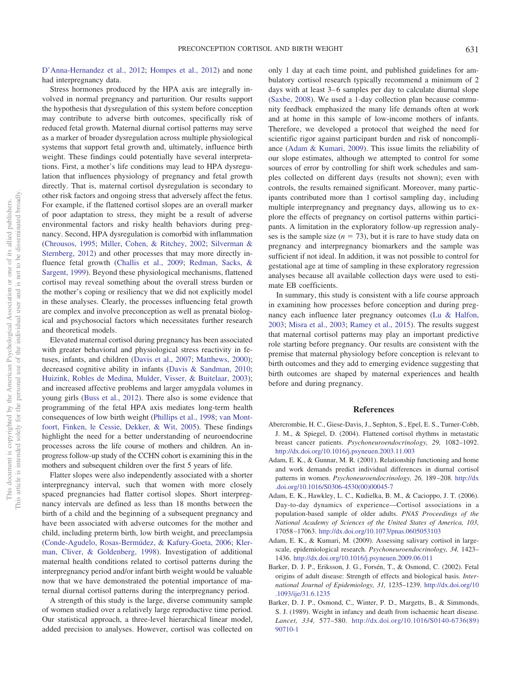[D'Anna-Hernandez et al., 2012;](#page-7-20) [Hompes et al., 2012\)](#page-7-21) and none had interpregnancy data.

Stress hormones produced by the HPA axis are integrally involved in normal pregnancy and parturition. Our results support the hypothesis that dysregulation of this system before conception may contribute to adverse birth outcomes, specifically risk of reduced fetal growth. Maternal diurnal cortisol patterns may serve as a marker of broader dysregulation across multiple physiological systems that support fetal growth and, ultimately, influence birth weight. These findings could potentially have several interpretations. First, a mother's life conditions may lead to HPA dysregulation that influences physiology of pregnancy and fetal growth directly. That is, maternal cortisol dysregulation is secondary to other risk factors and ongoing stress that adversely affect the fetus. For example, if the flattened cortisol slopes are an overall marker of poor adaptation to stress, they might be a result of adverse environmental factors and risky health behaviors during pregnancy. Second, HPA dysregulation is comorbid with inflammation [\(Chrousos, 1995;](#page-7-22) [Miller, Cohen, & Ritchey, 2002;](#page-8-22) [Silverman &](#page-8-23) [Sternberg, 2012\)](#page-8-23) and other processes that may more directly influence fetal growth [\(Challis et al., 2009;](#page-7-23) [Redman, Sacks, &](#page-8-24) [Sargent, 1999\)](#page-8-24). Beyond these physiological mechanisms, flattened cortisol may reveal something about the overall stress burden or the mother's coping or resiliency that we did not explicitly model in these analyses. Clearly, the processes influencing fetal growth are complex and involve preconception as well as prenatal biological and psychosocial factors which necessitates further research and theoretical models.

Elevated maternal cortisol during pregnancy has been associated with greater behavioral and physiological stress reactivity in fetuses, infants, and children [\(Davis et al., 2007;](#page-7-24) [Matthews, 2000\)](#page-8-25); decreased cognitive ability in infants [\(Davis & Sandman, 2010;](#page-7-25) [Huizink, Robles de Medina, Mulder, Visser, & Buitelaar, 2003\)](#page-7-26); and increased affective problems and larger amygdala volumes in young girls [\(Buss et al., 2012\)](#page-7-27). There also is some evidence that programming of the fetal HPA axis mediates long-term health consequences of low birth weight [\(Phillips et al., 1998;](#page-8-26) [van Mont](#page-8-27)[foort, Finken, le Cessie, Dekker, & Wit, 2005\)](#page-8-27). These findings highlight the need for a better understanding of neuroendocrine processes across the life course of mothers and children. An inprogress follow-up study of the CCHN cohort is examining this in the mothers and subsequent children over the first 5 years of life.

Flatter slopes were also independently associated with a shorter interpregnancy interval, such that women with more closely spaced pregnancies had flatter cortisol slopes. Short interpregnancy intervals are defined as less than 18 months between the birth of a child and the beginning of a subsequent pregnancy and have been associated with adverse outcomes for the mother and child, including preterm birth, low birth weight, and preeclampsia [\(Conde-Agudelo, Rosas-Bermúdez, & Kafury-Goeta, 2006;](#page-7-28) [Kler](#page-7-29)[man, Cliver, & Goldenberg, 1998\)](#page-7-29). Investigation of additional maternal health conditions related to cortisol patterns during the interpregnancy period and/or infant birth weight would be valuable now that we have demonstrated the potential importance of maternal diurnal cortisol patterns during the interpregnancy period.

A strength of this study is the large, diverse community sample of women studied over a relatively large reproductive time period. Our statistical approach, a three-level hierarchical linear model, added precision to analyses. However, cortisol was collected on only 1 day at each time point, and published guidelines for ambulatory cortisol research typically recommend a minimum of 2 days with at least 3–6 samples per day to calculate diurnal slope [\(Saxbe, 2008\)](#page-8-28). We used a 1-day collection plan because community feedback emphasized the many life demands often at work and at home in this sample of low-income mothers of infants. Therefore, we developed a protocol that weighed the need for scientific rigor against participant burden and risk of noncompliance [\(Adam & Kumari, 2009\)](#page-6-5). This issue limits the reliability of our slope estimates, although we attempted to control for some sources of error by controlling for shift work schedules and samples collected on different days (results not shown); even with controls, the results remained significant. Moreover, many participants contributed more than 1 cortisol sampling day, including multiple interpregnancy and pregnancy days, allowing us to explore the effects of pregnancy on cortisol patterns within participants. A limitation in the exploratory follow-up regression analyses is the sample size  $(n = 73)$ , but it is rare to have study data on pregnancy and interpregnancy biomarkers and the sample was sufficient if not ideal. In addition, it was not possible to control for gestational age at time of sampling in these exploratory regression analyses because all available collection days were used to estimate EB coefficients.

In summary, this study is consistent with a life course approach in examining how processes before conception and during pregnancy each influence later pregnancy outcomes [\(Lu & Halfon,](#page-8-13) [2003;](#page-8-13) [Misra et al., 2003;](#page-8-14) [Ramey et al., 2015\)](#page-8-15). The results suggest that maternal cortisol patterns may play an important predictive role starting before pregnancy. Our results are consistent with the premise that maternal physiology before conception is relevant to birth outcomes and they add to emerging evidence suggesting that birth outcomes are shaped by maternal experiences and health before and during pregnancy.

## **References**

- <span id="page-6-2"></span>Abercrombie, H. C., Giese-Davis, J., Sephton, S., Epel, E. S., Turner-Cobb, J. M., & Spiegel, D. (2004). Flattened cortisol rhythms in metastatic breast cancer patients. *Psychoneuroendocrinology, 29,* 1082–1092. <http://dx.doi.org/10.1016/j.psyneuen.2003.11.003>
- <span id="page-6-3"></span>Adam, E. K., & Gunnar, M. R. (2001). Relationship functioning and home and work demands predict individual differences in diurnal cortisol patterns in women. *Psychoneuroendocrinology, 26,* 189 –208. [http://dx](http://dx.doi.org/10.1016/S0306-4530%2800%2900045-7) [.doi.org/10.1016/S0306-4530\(00\)00045-7](http://dx.doi.org/10.1016/S0306-4530%2800%2900045-7)
- <span id="page-6-4"></span>Adam, E. K., Hawkley, L. C., Kudielka, B. M., & Cacioppo, J. T. (2006). Day-to-day dynamics of experience—Cortisol associations in a population-based sample of older adults. *PNAS Proceedings of the National Academy of Sciences of the United States of America, 103,* 17058 –17063. <http://dx.doi.org/10.1073/pnas.0605053103>
- <span id="page-6-5"></span>Adam, E. K., & Kumari, M. (2009). Assessing salivary cortisol in largescale, epidemiological research. *Psychoneuroendocrinology, 34,* 1423– 1436. <http://dx.doi.org/10.1016/j.psyneuen.2009.06.011>
- <span id="page-6-0"></span>Barker, D. J. P., Eriksson, J. G., Forsén, T., & Osmond, C. (2002). Fetal origins of adult disease: Strength of effects and biological basis. *International Journal of Epidemiology, 31,* 1235–1239. [http://dx.doi.org/10](http://dx.doi.org/10.1093/ije/31.6.1235) [.1093/ije/31.6.1235](http://dx.doi.org/10.1093/ije/31.6.1235)
- <span id="page-6-1"></span>Barker, D. J. P., Osmond, C., Winter, P. D., Margetts, B., & Simmonds, S. J. (1989). Weight in infancy and death from ischaemic heart disease. *Lancet, 334,* 577–580. [http://dx.doi.org/10.1016/S0140-6736\(89\)](http://dx.doi.org/10.1016/S0140-6736%2889%2990710-1) [90710-1](http://dx.doi.org/10.1016/S0140-6736%2889%2990710-1)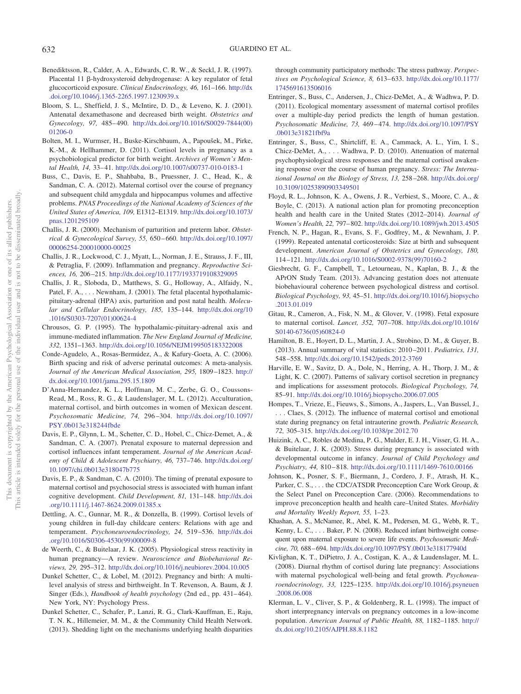- <span id="page-7-3"></span>Benediktsson, R., Calder, A. A., Edwards, C. R. W., & Seckl, J. R. (1997). Placental 11  $\beta$ -hydroxysteroid dehydrogenase: A key regulator of fetal glucocorticoid exposure. *Clinical Endocrinology, 46,* 161–166. [http://dx](http://dx.doi.org/10.1046/j.1365-2265.1997.1230939.x) [.doi.org/10.1046/j.1365-2265.1997.1230939.x](http://dx.doi.org/10.1046/j.1365-2265.1997.1230939.x)
- <span id="page-7-5"></span>Bloom, S. L., Sheffield, J. S., McIntire, D. D., & Leveno, K. J. (2001). Antenatal dexamethasone and decreased birth weight. *Obstetrics and Gynecology, 97,* 485– 490. [http://dx.doi.org/10.1016/S0029-7844\(00\)](http://dx.doi.org/10.1016/S0029-7844%2800%2901206-0) [01206-0](http://dx.doi.org/10.1016/S0029-7844%2800%2901206-0)
- <span id="page-7-19"></span>Bolten, M. I., Wurmser, H., Buske-Kirschbaum, A., Papoušek, M., Pirke, K.-M., & Hellhammer, D. (2011). Cortisol levels in pregnancy as a psychobiological predictor for birth weight. *Archives of Women's Mental Health, 14,* 33– 41. <http://dx.doi.org/10.1007/s00737-010-0183-1>
- <span id="page-7-27"></span>Buss, C., Davis, E. P., Shahbaba, B., Pruessner, J. C., Head, K., & Sandman, C. A. (2012). Maternal cortisol over the course of pregnancy and subsequent child amygdala and hippocampus volumes and affective problems. *PNAS Proceedings of the National Academy of Sciences of the United States of America, 109,* E1312–E1319. [http://dx.doi.org/10.1073/](http://dx.doi.org/10.1073/pnas.1201295109) [pnas.1201295109](http://dx.doi.org/10.1073/pnas.1201295109)
- <span id="page-7-7"></span>Challis, J. R. (2000). Mechanism of parturition and preterm labor. *Obstetrical & Gynecological Survey, 55,* 650 – 660. [http://dx.doi.org/10.1097/](http://dx.doi.org/10.1097/00006254-200010000-00025) [00006254-200010000-00025](http://dx.doi.org/10.1097/00006254-200010000-00025)
- <span id="page-7-23"></span>Challis, J. R., Lockwood, C. J., Myatt, L., Norman, J. E., Strauss, J. F., III, & Petraglia, F. (2009). Inflammation and pregnancy. *Reproductive Sciences, 16,* 206 –215. <http://dx.doi.org/10.1177/1933719108329095>
- <span id="page-7-2"></span>Challis, J. R., Sloboda, D., Matthews, S. G., Holloway, A., Alfaidy, N., Patel, F. A., ... Newnham, J. (2001). The fetal placental hypothalamicpituitary-adrenal (HPA) axis, parturition and post natal health. *Molecular and Cellular Endocrinology, 185,* 135–144. [http://dx.doi.org/10](http://dx.doi.org/10.1016/S0303-7207%2801%2900624-4) [.1016/S0303-7207\(01\)00624-4](http://dx.doi.org/10.1016/S0303-7207%2801%2900624-4)
- <span id="page-7-22"></span>Chrousos, G. P. (1995). The hypothalamic-pituitary-adrenal axis and immune-mediated inflammation. *The New England Journal of Medicine, 332,* 1351–1363. <http://dx.doi.org/10.1056/NEJM199505183322008>
- <span id="page-7-28"></span>Conde-Agudelo, A., Rosas-Bermúdez, A., & Kafury-Goeta, A. C. (2006). Birth spacing and risk of adverse perinatal outcomes: A meta-analysis. *Journal of the American Medical Association, 295,* 1809 –1823. [http://](http://dx.doi.org/10.1001/jama.295.15.1809) [dx.doi.org/10.1001/jama.295.15.1809](http://dx.doi.org/10.1001/jama.295.15.1809)
- <span id="page-7-20"></span>D'Anna-Hernandez, K. L., Hoffman, M. C., Zerbe, G. O., Coussons-Read, M., Ross, R. G., & Laudenslager, M. L. (2012). Acculturation, maternal cortisol, and birth outcomes in women of Mexican descent. *Psychosomatic Medicine, 74,* 296 –304. [http://dx.doi.org/10.1097/](http://dx.doi.org/10.1097/PSY.0b013e318244fbde) [PSY.0b013e318244fbde](http://dx.doi.org/10.1097/PSY.0b013e318244fbde)
- <span id="page-7-24"></span>Davis, E. P., Glynn, L. M., Schetter, C. D., Hobel, C., Chicz-Demet, A., & Sandman, C. A. (2007). Prenatal exposure to maternal depression and cortisol influences infant temperament. *Journal of the American Academy of Child & Adolescent Psychiatry, 46,* 737–746. [http://dx.doi.org/](http://dx.doi.org/10.1097/chi.0b013e318047b775) [10.1097/chi.0b013e318047b775](http://dx.doi.org/10.1097/chi.0b013e318047b775)
- <span id="page-7-25"></span>Davis, E. P., & Sandman, C. A. (2010). The timing of prenatal exposure to maternal cortisol and psychosocial stress is associated with human infant cognitive development. *Child Development, 81,* 131–148. [http://dx.doi](http://dx.doi.org/10.1111/j.1467-8624.2009.01385.x) [.org/10.1111/j.1467-8624.2009.01385.x](http://dx.doi.org/10.1111/j.1467-8624.2009.01385.x)
- <span id="page-7-18"></span>Dettling, A. C., Gunnar, M. R., & Donzella, B. (1999). Cortisol levels of young children in full-day childcare centers: Relations with age and temperament. *Psychoneuroendocrinology, 24,* 519 –536. [http://dx.doi](http://dx.doi.org/10.1016/S0306-4530%2899%2900009-8) [.org/10.1016/S0306-4530\(99\)00009-8](http://dx.doi.org/10.1016/S0306-4530%2899%2900009-8)
- <span id="page-7-11"></span>de Weerth, C., & Buitelaar, J. K. (2005). Physiological stress reactivity in human pregnancy—A review. *Neuroscience and Biobehavioral Reviews, 29,* 295–312. <http://dx.doi.org/10.1016/j.neubiorev.2004.10.005>
- <span id="page-7-1"></span>Dunkel Schetter, C., & Lobel, M. (2012). Pregnancy and birth: A multilevel analysis of stress and birthweight. In T. Revenson, A. Baum, & J. Singer (Eds.), *Handbook of health psychology* (2nd ed., pp. 431-464). New York, NY: Psychology Press.
- <span id="page-7-17"></span>Dunkel Schetter, C., Schafer, P., Lanzi, R. G., Clark-Kauffman, E., Raju, T. N. K., Hillemeier, M. M., & the Community Child Health Network. (2013). Shedding light on the mechanisms underlying health disparities

through community participatory methods: The stress pathway. *Perspectives on Psychological Science, 8,* 613– 633. [http://dx.doi.org/10.1177/](http://dx.doi.org/10.1177/1745691613506016) [1745691613506016](http://dx.doi.org/10.1177/1745691613506016)

- <span id="page-7-9"></span>Entringer, S., Buss, C., Andersen, J., Chicz-DeMet, A., & Wadhwa, P. D. (2011). Ecological momentary assessment of maternal cortisol profiles over a multiple-day period predicts the length of human gestation. *Psychosomatic Medicine, 73,* 469 – 474. [http://dx.doi.org/10.1097/PSY](http://dx.doi.org/10.1097/PSY.0b013e31821fbf9a) [.0b013e31821fbf9a](http://dx.doi.org/10.1097/PSY.0b013e31821fbf9a)
- <span id="page-7-12"></span>Entringer, S., Buss, C., Shirtcliff, E. A., Cammack, A. L., Yim, I. S., Chicz-DeMet, A.,... Wadhwa, P. D. (2010). Attenuation of maternal psychophysiological stress responses and the maternal cortisol awakening response over the course of human pregnancy. *Stress: The International Journal on the Biology of Stress, 13,* 258 –268. [http://dx.doi.org/](http://dx.doi.org/10.3109/10253890903349501) [10.3109/10253890903349501](http://dx.doi.org/10.3109/10253890903349501)
- <span id="page-7-14"></span>Floyd, R. L., Johnson, K. A., Owens, J. R., Verbiest, S., Moore, C. A., & Boyle, C. (2013). A national action plan for promoting preconception health and health care in the United States (2012–2014). *Journal of Women's Health, 22,* 797– 802. <http://dx.doi.org/10.1089/jwh.2013.4505>
- <span id="page-7-6"></span>French, N. P., Hagan, R., Evans, S. F., Godfrey, M., & Newnham, J. P. (1999). Repeated antenatal corticosteroids: Size at birth and subsequent development. *American Journal of Obstetrics and Gynecology, 180,* 114 –121. [http://dx.doi.org/10.1016/S0002-9378\(99\)70160-2](http://dx.doi.org/10.1016/S0002-9378%2899%2970160-2)
- <span id="page-7-13"></span>Giesbrecht, G. F., Campbell, T., Letourneau, N., Kaplan, B. J., & the APrON Study Team. (2013). Advancing gestation does not attenuate biobehavioural coherence between psychological distress and cortisol. *Biological Psychology, 93,* 45–51. [http://dx.doi.org/10.1016/j.biopsycho](http://dx.doi.org/10.1016/j.biopsycho.2013.01.019) [.2013.01.019](http://dx.doi.org/10.1016/j.biopsycho.2013.01.019)
- <span id="page-7-4"></span>Gitau, R., Cameron, A., Fisk, N. M., & Glover, V. (1998). Fetal exposure to maternal cortisol. *Lancet, 352,* 707–708. [http://dx.doi.org/10.1016/](http://dx.doi.org/10.1016/S0140-6736%2805%2960824-0) [S0140-6736\(05\)60824-0](http://dx.doi.org/10.1016/S0140-6736%2805%2960824-0)
- <span id="page-7-0"></span>Hamilton, B. E., Hoyert, D. L., Martin, J. A., Strobino, D. M., & Guyer, B. (2013). Annual summary of vital statistics: 2010 –2011. *Pediatrics, 131,* 548 –558. <http://dx.doi.org/10.1542/peds.2012-3769>
- <span id="page-7-8"></span>Harville, E. W., Savitz, D. A., Dole, N., Herring, A. H., Thorp, J. M., & Light, K. C. (2007). Patterns of salivary cortisol secretion in pregnancy and implications for assessment protocols. *Biological Psychology, 74,* 85–91. <http://dx.doi.org/10.1016/j.biopsycho.2006.07.005>
- <span id="page-7-21"></span>Hompes, T., Vrieze, E., Fieuws, S., Simons, A., Jaspers, L., Van Bussel, J., . . . Claes, S. (2012). The influence of maternal cortisol and emotional state during pregnancy on fetal intrauterine growth. *Pediatric Research, 72,* 305–315. <http://dx.doi.org/10.1038/pr.2012.70>
- <span id="page-7-26"></span>Huizink, A. C., Robles de Medina, P. G., Mulder, E. J. H., Visser, G. H. A., & Buitelaar, J. K. (2003). Stress during pregnancy is associated with developmental outcome in infancy. *Journal of Child Psychology and Psychiatry, 44,* 810 – 818. <http://dx.doi.org/10.1111/1469-7610.00166>
- <span id="page-7-15"></span>Johnson, K., Posner, S. F., Biermann, J., Cordero, J. F., Atrash, H. K., Parker, C. S., . . . the CDC/ATSDR Preconception Care Work Group, & the Select Panel on Preconception Care. (2006). Recommendations to improve preconception health and health care–United States. *Morbidity and Mortality Weekly Report, 55,* 1–23.
- <span id="page-7-16"></span>Khashan, A. S., McNamee, R., Abel, K. M., Pedersen, M. G., Webb, R. T., Kenny, L. C., . . . Baker, P. N. (2008). Reduced infant birthweight consequent upon maternal exposure to severe life events. *Psychosomatic Medicine, 70,* 688 – 694. <http://dx.doi.org/10.1097/PSY.0b013e318177940d>
- <span id="page-7-10"></span>Kivlighan, K. T., DiPietro, J. A., Costigan, K. A., & Laudenslager, M. L. (2008). Diurnal rhythm of cortisol during late pregnancy: Associations with maternal psychological well-being and fetal growth. *Psychoneuroendocrinology, 33,* 1225–1235. [http://dx.doi.org/10.1016/j.psyneuen](http://dx.doi.org/10.1016/j.psyneuen.2008.06.008) [.2008.06.008](http://dx.doi.org/10.1016/j.psyneuen.2008.06.008)
- <span id="page-7-29"></span>Klerman, L. V., Cliver, S. P., & Goldenberg, R. L. (1998). The impact of short interpregnancy intervals on pregnancy outcomes in a low-income population. *American Journal of Public Health, 88,* 1182–1185. [http://](http://dx.doi.org/10.2105/AJPH.88.8.1182) [dx.doi.org/10.2105/AJPH.88.8.1182](http://dx.doi.org/10.2105/AJPH.88.8.1182)